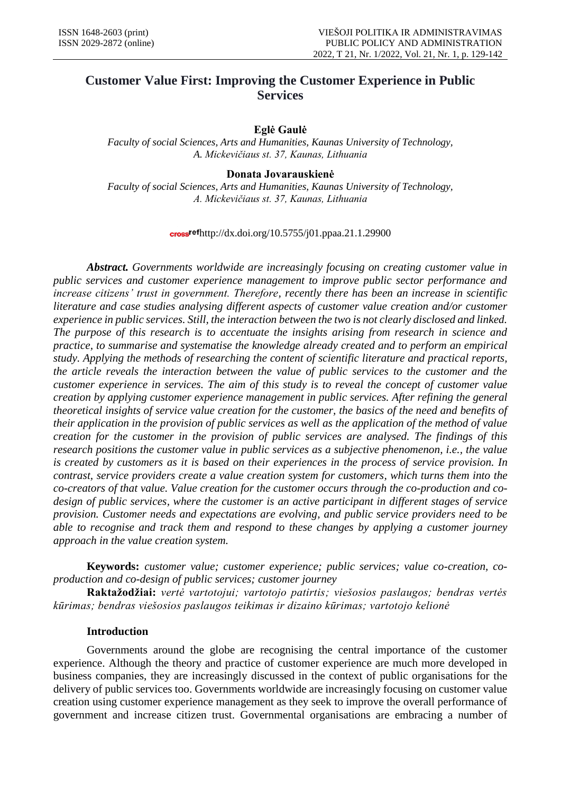# **Customer Value First: Improving the Customer Experience in Public Services**

**Eglė Gaulė**

*Faculty of social Sciences, Arts and Humanities, Kaunas University of Technology, A. Mickevičiaus st. 37, Kaunas, Lithuania*

### **Donata Jovarauskienė**

*Faculty of social Sciences, Arts and Humanities, Kaunas University of Technology, A. Mickevičiaus st. 37, Kaunas, Lithuania*

http://dx.doi.org/10.5755/j01.ppaa.21.1.29900

*Abstract. Governments worldwide are increasingly focusing on creating customer value in public services and customer experience management to improve public sector performance and increase citizens' trust in government. Therefore, recently there has been an increase in scientific literature and case studies analysing different aspects of customer value creation and/or customer experience in public services. Still, the interaction between the two is not clearly disclosed and linked. The purpose of this research is to accentuate the insights arising from research in science and practice, to summarise and systematise the knowledge already created and to perform an empirical study. Applying the methods of researching the content of scientific literature and practical reports, the article reveals the interaction between the value of public services to the customer and the customer experience in services. The aim of this study is to reveal the concept of customer value creation by applying customer experience management in public services. After refining the general theoretical insights of service value creation for the customer, the basics of the need and benefits of their application in the provision of public services as well as the application of the method of value creation for the customer in the provision of public services are analysed. The findings of this research positions the customer value in public services as a subjective phenomenon, i.e., the value is created by customers as it is based on their experiences in the process of service provision. In contrast, service providers create a value creation system for customers, which turns them into the co-creators of that value. Value creation for the customer occurs through the co-production and codesign of public services, where the customer is an active participant in different stages of service provision. Customer needs and expectations are evolving, and public service providers need to be able to recognise and track them and respond to these changes by applying a customer journey approach in the value creation system.*

**Keywords:** *customer value; customer experience; public services; value co-creation, coproduction and co-design of public services; customer journey*

**Raktažodžiai:** *vertė vartotojui; vartotojo patirtis; viešosios paslaugos; bendras vertės kūrimas; bendras viešosios paslaugos teikimas ir dizaino kūrimas; vartotojo kelionė*

### **Introduction**

Governments around the globe are recognising the central importance of the customer experience. Although the theory and practice of customer experience are much more developed in business companies, they are increasingly discussed in the context of public organisations for the delivery of public services too. Governments worldwide are increasingly focusing on customer value creation using customer experience management as they seek to improve the overall performance of government and increase citizen trust. Governmental organisations are embracing a number of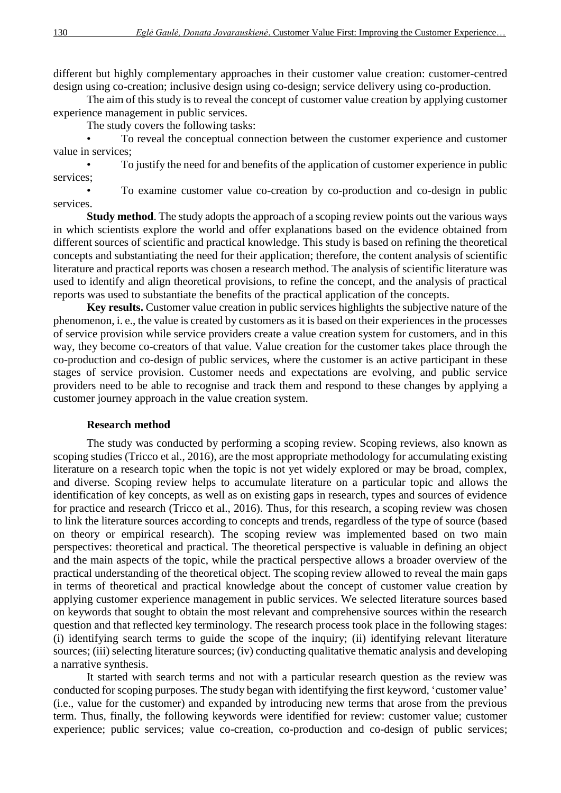different but highly complementary approaches in their customer value creation: customer-centred design using co-creation; inclusive design using co-design; service delivery using co-production.

The aim of this study is to reveal the concept of customer value creation by applying customer experience management in public services.

The study covers the following tasks:

• To reveal the conceptual connection between the customer experience and customer value in services;

• To justify the need for and benefits of the application of customer experience in public services;

• To examine customer value co-creation by co-production and co-design in public services.

**Study method**. The study adopts the approach of a scoping review points out the various ways in which scientists explore the world and offer explanations based on the evidence obtained from different sources of scientific and practical knowledge. This study is based on refining the theoretical concepts and substantiating the need for their application; therefore, the content analysis of scientific literature and practical reports was chosen a research method. The analysis of scientific literature was used to identify and align theoretical provisions, to refine the concept, and the analysis of practical reports was used to substantiate the benefits of the practical application of the concepts.

**Key results.** Customer value creation in public services highlights the subjective nature of the phenomenon, i. e., the value is created by customers as it is based on their experiences in the processes of service provision while service providers create a value creation system for customers, and in this way, they become co-creators of that value. Value creation for the customer takes place through the co-production and co-design of public services, where the customer is an active participant in these stages of service provision. Customer needs and expectations are evolving, and public service providers need to be able to recognise and track them and respond to these changes by applying a customer journey approach in the value creation system.

#### **Research method**

The study was conducted by performing a scoping review. Scoping reviews, also known as scoping studies (Tricco et al., 2016), are the most appropriate methodology for accumulating existing literature on a research topic when the topic is not yet widely explored or may be broad, complex, and diverse. Scoping review helps to accumulate literature on a particular topic and allows the identification of key concepts, as well as on existing gaps in research, types and sources of evidence for practice and research (Tricco et al., 2016). Thus, for this research, a scoping review was chosen to link the literature sources according to concepts and trends, regardless of the type of source (based on theory or empirical research). The scoping review was implemented based on two main perspectives: theoretical and practical. The theoretical perspective is valuable in defining an object and the main aspects of the topic, while the practical perspective allows a broader overview of the practical understanding of the theoretical object. The scoping review allowed to reveal the main gaps in terms of theoretical and practical knowledge about the concept of customer value creation by applying customer experience management in public services. We selected literature sources based on keywords that sought to obtain the most relevant and comprehensive sources within the research question and that reflected key terminology. The research process took place in the following stages: (i) identifying search terms to guide the scope of the inquiry; (ii) identifying relevant literature sources; (iii) selecting literature sources; (iv) conducting qualitative thematic analysis and developing a narrative synthesis.

It started with search terms and not with a particular research question as the review was conducted for scoping purposes. The study began with identifying the first keyword, 'customer value' (i.e., value for the customer) and expanded by introducing new terms that arose from the previous term. Thus, finally, the following keywords were identified for review: customer value; customer experience; public services; value co-creation, co-production and co-design of public services;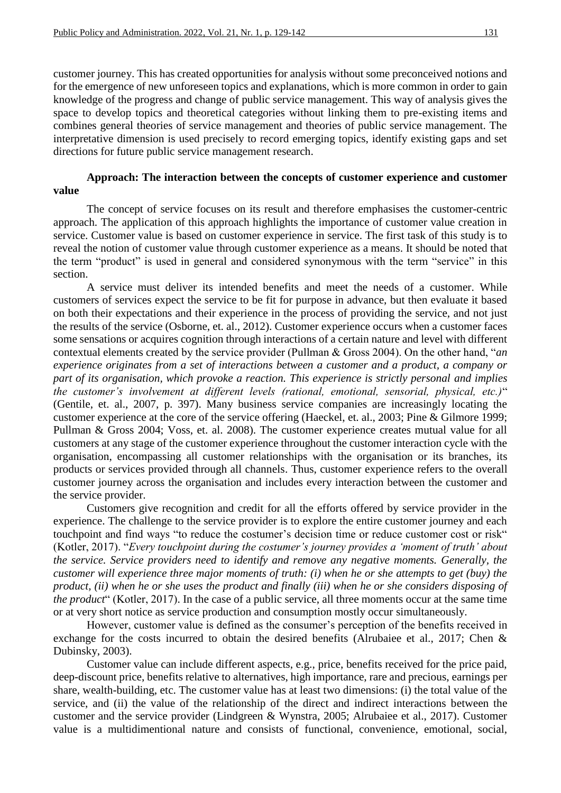customer journey. This has created opportunities for analysis without some preconceived notions and for the emergence of new unforeseen topics and explanations, which is more common in order to gain knowledge of the progress and change of public service management. This way of analysis gives the space to develop topics and theoretical categories without linking them to pre-existing items and combines general theories of service management and theories of public service management. The interpretative dimension is used precisely to record emerging topics, identify existing gaps and set directions for future public service management research.

# **Approach: The interaction between the concepts of customer experience and customer value**

The concept of service focuses on its result and therefore emphasises the customer-centric approach. The application of this approach highlights the importance of customer value creation in service. Customer value is based on customer experience in service. The first task of this study is to reveal the notion of customer value through customer experience as a means. It should be noted that the term "product" is used in general and considered synonymous with the term "service" in this section.

A service must deliver its intended benefits and meet the needs of a customer. While customers of services expect the service to be fit for purpose in advance, but then evaluate it based on both their expectations and their experience in the process of providing the service, and not just the results of the service (Osborne, et. al., 2012). Customer experience occurs when a customer faces some sensations or acquires cognition through interactions of a certain nature and level with different contextual elements created by the service provider (Pullman & Gross 2004). On the other hand, "*an experience originates from a set of interactions between a customer and a product, a company or part of its organisation, which provoke a reaction. This experience is strictly personal and implies the customer's involvement at different levels (rational, emotional, sensorial, physical, etc.)*" (Gentile, et. al., 2007, p. 397). Many business service companies are increasingly locating the customer experience at the core of the service offering (Haeckel, et. al., 2003; Pine & Gilmore 1999; Pullman & Gross 2004; Voss, et. al. 2008). The customer experience creates mutual value for all customers at any stage of the customer experience throughout the customer interaction cycle with the organisation, encompassing all customer relationships with the organisation or its branches, its products or services provided through all channels. Thus, customer experience refers to the overall customer journey across the organisation and includes every interaction between the customer and the service provider.

Customers give recognition and credit for all the efforts offered by service provider in the experience. The challenge to the service provider is to explore the entire customer journey and each touchpoint and find ways "to reduce the costumer's decision time or reduce customer cost or risk" (Kotler, 2017). "*Every touchpoint during the costumer's journey provides a 'moment of truth' about the service. Service providers need to identify and remove any negative moments. Generally, the customer will experience three major moments of truth: (i) when he or she attempts to get (buy) the product, (ii) when he or she uses the product and finally (iii) when he or she considers disposing of the product*" (Kotler, 2017). In the case of a public service, all three moments occur at the same time or at very short notice as service production and consumption mostly occur simultaneously.

However, customer value is defined as the consumer's perception of the benefits received in exchange for the costs incurred to obtain the desired benefits (Alrubaiee et al., 2017; Chen & Dubinsky, 2003).

Customer value can include different aspects, e.g., price, benefits received for the price paid, deep-discount price, benefits relative to alternatives, high importance, rare and precious, earnings per share, wealth-building, etc. The customer value has at least two dimensions: (i) the total value of the service, and (ii) the value of the relationship of the direct and indirect interactions between the customer and the service provider (Lindgreen & Wynstra, 2005; Alrubaiee et al., 2017). Customer value is a multidimentional nature and consists of functional, convenience, emotional, social,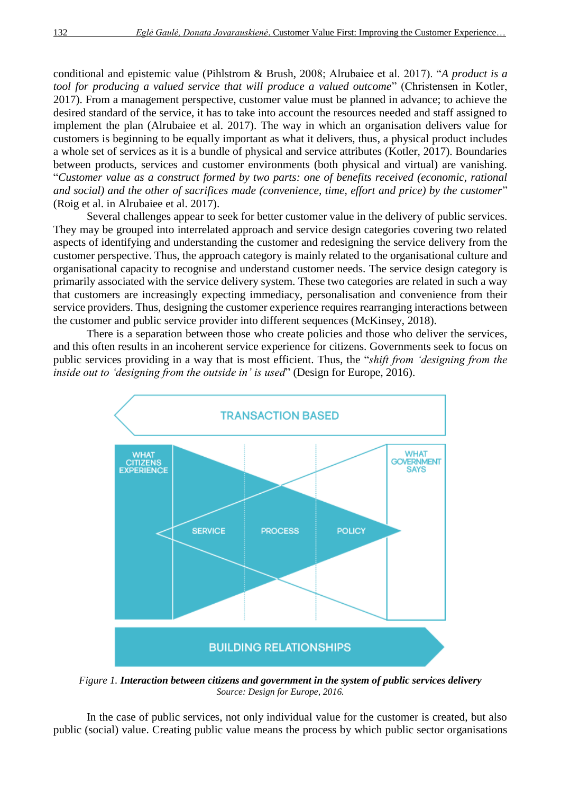conditional and epistemic value (Pihlstrom & Brush, 2008; Alrubaiee et al. 2017). "*A product is a tool for producing a valued service that will produce a valued outcome*" (Christensen in Kotler, 2017). From a management perspective, customer value must be planned in advance; to achieve the desired standard of the service, it has to take into account the resources needed and staff assigned to implement the plan (Alrubaiee et al. 2017). The way in which an organisation delivers value for customers is beginning to be equally important as what it delivers, thus, a physical product includes a whole set of services as it is a bundle of physical and service attributes (Kotler, 2017). Boundaries between products, services and customer environments (both physical and virtual) are vanishing. "*Customer value as a construct formed by two parts: one of benefits received (economic, rational and social) and the other of sacrifices made (convenience, time, effort and price) by the customer*" (Roig et al. in Alrubaiee et al. 2017).

Several challenges appear to seek for better customer value in the delivery of public services. They may be grouped into interrelated approach and service design categories covering two related aspects of identifying and understanding the customer and redesigning the service delivery from the customer perspective. Thus, the approach category is mainly related to the organisational culture and organisational capacity to recognise and understand customer needs. The service design category is primarily associated with the service delivery system. These two categories are related in such a way that customers are increasingly expecting immediacy, personalisation and convenience from their service providers. Thus, designing the customer experience requires rearranging interactions between the customer and public service provider into different sequences (McKinsey, 2018).

There is a separation between those who create policies and those who deliver the services, and this often results in an incoherent service experience for citizens. Governments seek to focus on public services providing in a way that is most efficient. Thus, the "*shift from 'designing from the inside out to 'designing from the outside in' is used*" (Design for Europe, 2016).



*Figure 1. Interaction between citizens and government in the system of public services delivery Source: Design for Europe, 2016.*

In the case of public services, not only individual value for the customer is created, but also public (social) value. Creating public value means the process by which public sector organisations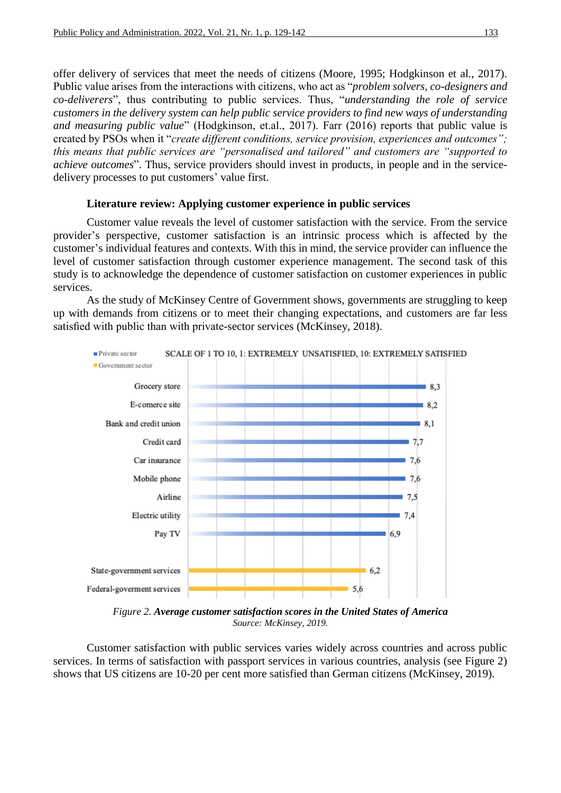offer delivery of services that meet the needs of citizens (Moore, 1995; Hodgkinson et al., 2017). Public value arises from the interactions with citizens, who act as "*problem solvers, co-designers and co-deliverers*", thus contributing to public services. Thus, "*understanding the role of service customers in the delivery system can help public service providers to find new ways of understanding and measuring public value*" (Hodgkinson, et.al., 2017). Farr (2016) reports that public value is created by PSOs when it "*create different conditions, service provision, experiences and outcomes"; this means that public services are "personalised and tailored" and customers are "supported to achieve outcomes*". Thus, service providers should invest in products, in people and in the servicedelivery processes to put customers' value first.

#### **Literature review: Applying customer experience in public services**

Customer value reveals the level of customer satisfaction with the service. From the service provider's perspective, customer satisfaction is an intrinsic process which is affected by the customer's individual features and contexts. With this in mind, the service provider can influence the level of customer satisfaction through customer experience management. The second task of this study is to acknowledge the dependence of customer satisfaction on customer experiences in public services.

As the study of McKinsey Centre of Government shows, governments are struggling to keep up with demands from citizens or to meet their changing expectations, and customers are far less satisfied with public than with private-sector services (McKinsey, 2018).



*Figure 2. Average customer satisfaction scores in the United States of America Source: McKinsey, 2019.*

Customer satisfaction with public services varies widely across countries and across public services. In terms of satisfaction with passport services in various countries, analysis (see Figure 2) shows that US citizens are 10-20 per cent more satisfied than German citizens (McKinsey, 2019).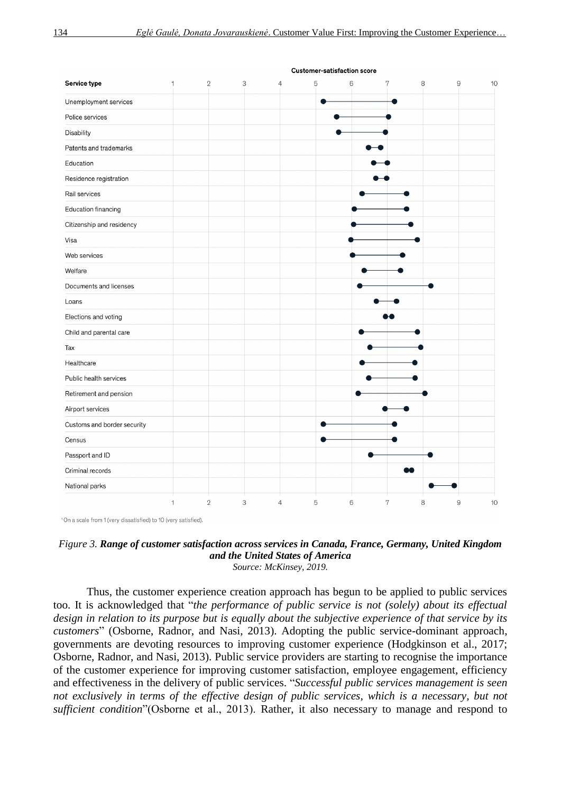

<sup>1</sup>On a scale from 1 (very dissatisfied) to 10 (very satisfied).



Thus, the customer experience creation approach has begun to be applied to public services too. It is acknowledged that "*the performance of public service is not (solely) about its effectual design in relation to its purpose but is equally about the subjective experience of that service by its customers*" (Osborne, Radnor, and Nasi, 2013). Adopting the public service-dominant approach, governments are devoting resources to improving customer experience (Hodgkinson et al., 2017; Osborne, Radnor, and Nasi, 2013). Public service providers are starting to recognise the importance of the customer experience for improving customer satisfaction, employee engagement, efficiency and effectiveness in the delivery of public services. "*Successful public services management is seen not exclusively in terms of the effective design of public services, which is a necessary, but not sufficient condition*"(Osborne et al., 2013). Rather, it also necessary to manage and respond to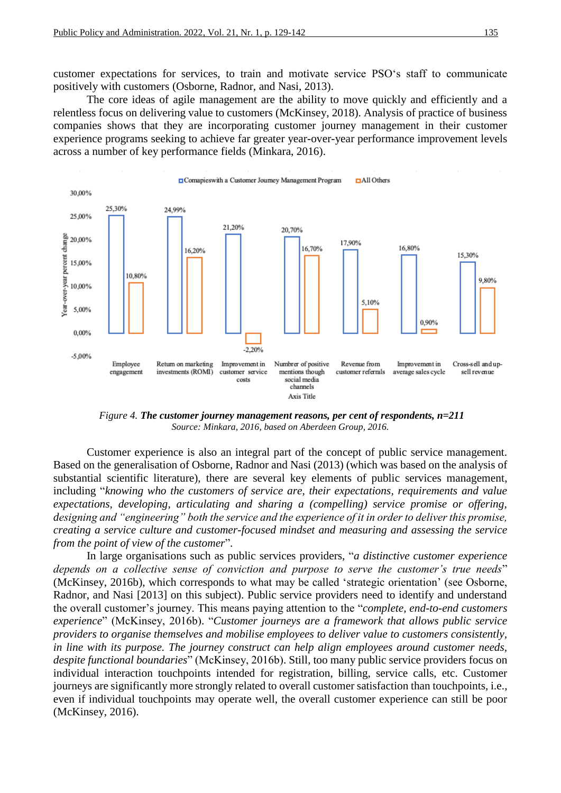customer expectations for services, to train and motivate service PSO's staff to communicate positively with customers (Osborne, Radnor, and Nasi, 2013).

The core ideas of agile management are the ability to move quickly and efficiently and a relentless focus on delivering value to customers (McKinsey, 2018). Analysis of practice of business companies shows that they are incorporating customer journey management in their customer experience programs seeking to achieve far greater year-over-year performance improvement levels across a number of key performance fields (Minkara, 2016).



*Figure 4. The customer journey management reasons, per cent of respondents, n=211 Source: Minkara, 2016, based on Aberdeen Group, 2016.*

Customer experience is also an integral part of the concept of public service management. Based on the generalisation of Osborne, Radnor and Nasi (2013) (which was based on the analysis of substantial scientific literature), there are several key elements of public services management, including "*knowing who the customers of service are, their expectations, requirements and value expectations, developing, articulating and sharing a (compelling) service promise or offering, designing and "engineering" both the service and the experience of it in order to deliver this promise, creating a service culture and customer-focused mindset and measuring and assessing the service from the point of view of the customer*".

In large organisations such as public services providers, "*a distinctive customer experience depends on a collective sense of conviction and purpose to serve the customer's true needs*" (McKinsey, 2016b), which corresponds to what may be called 'strategic orientation' (see Osborne, Radnor, and Nasi [2013] on this subject). Public service providers need to identify and understand the overall customer's journey. This means paying attention to the "*complete, end-to-end customers experience*" (McKinsey, 2016b). "*Customer journeys are a framework that allows public service providers to organise themselves and mobilise employees to deliver value to customers consistently, in line with its purpose. The journey construct can help align employees around customer needs, despite functional boundaries*" (McKinsey, 2016b). Still, too many public service providers focus on individual interaction touchpoints intended for registration, billing, service calls, etc. Customer journeys are significantly more strongly related to overall customer satisfaction than touchpoints, i.e., even if individual touchpoints may operate well, the overall customer experience can still be poor (McKinsey, 2016).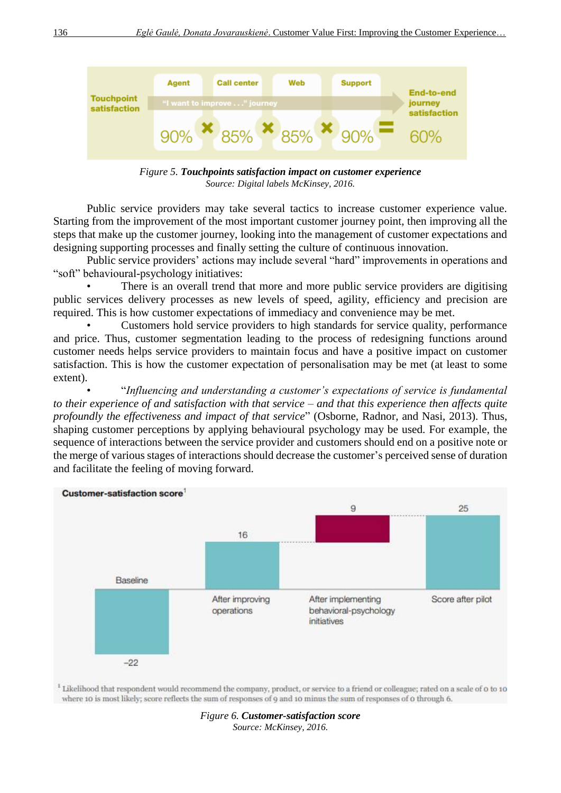

*Figure 5. Touchpoints satisfaction impact on customer experience Source: Digital labels McKinsey, 2016.*

Public service providers may take several tactics to increase customer experience value. Starting from the improvement of the most important customer journey point, then improving all the steps that make up the customer journey, looking into the management of customer expectations and designing supporting processes and finally setting the culture of continuous innovation.

Public service providers' actions may include several "hard" improvements in operations and "soft" behavioural-psychology initiatives:

There is an overall trend that more and more public service providers are digitising public services delivery processes as new levels of speed, agility, efficiency and precision are required. This is how customer expectations of immediacy and convenience may be met.

• Customers hold service providers to high standards for service quality, performance and price. Thus, customer segmentation leading to the process of redesigning functions around customer needs helps service providers to maintain focus and have a positive impact on customer satisfaction. This is how the customer expectation of personalisation may be met (at least to some extent).

• "*Influencing and understanding a customer's expectations of service is fundamental to their experience of and satisfaction with that service – and that this experience then affects quite profoundly the effectiveness and impact of that service*" (Osborne, Radnor, and Nasi, 2013). Thus, shaping customer perceptions by applying behavioural psychology may be used. For example, the sequence of interactions between the service provider and customers should end on a positive note or the merge of various stages of interactions should decrease the customer's perceived sense of duration and facilitate the feeling of moving forward.



<sup>1</sup> Likelihood that respondent would recommend the company, product, or service to a friend or colleague; rated on a scale of 0 to 10 where 10 is most likely; score reflects the sum of responses of 9 and 10 minus the sum of responses of 0 through 6.

> *Figure 6. Customer-satisfaction score Source: McKinsey, 2016.*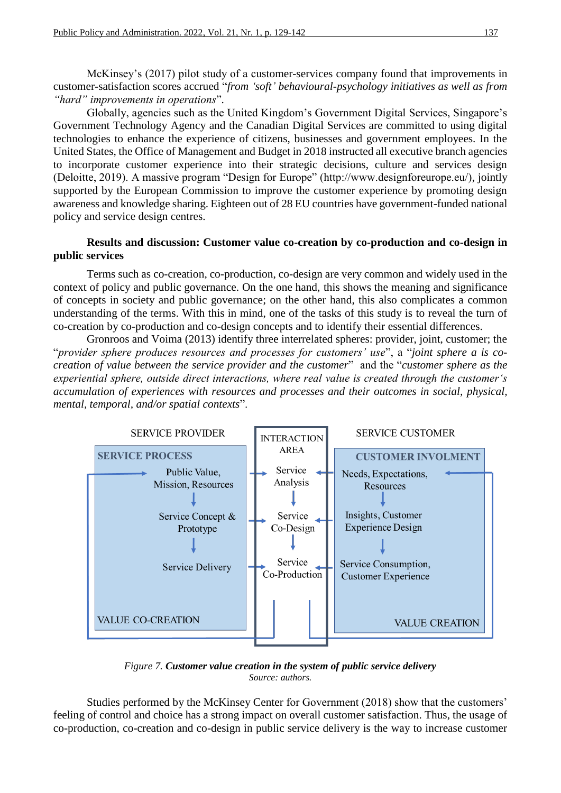McKinsey's (2017) pilot study of a customer-services company found that improvements in customer-satisfaction scores accrued "*from 'soft' behavioural-psychology initiatives as well as from "hard" improvements in operations*".

Globally, agencies such as the United Kingdom's Government Digital Services, Singapore's Government Technology Agency and the Canadian Digital Services are committed to using digital technologies to enhance the experience of citizens, businesses and government employees. In the United States, the Office of Management and Budget in 2018 instructed all executive branch agencies to incorporate customer experience into their strategic decisions, culture and services design (Deloitte, 2019). A massive program "Design for Europe" (http://www.designforeurope.eu/), jointly supported by the European Commission to improve the customer experience by promoting design awareness and knowledge sharing. Eighteen out of 28 EU countries have government-funded national policy and service design centres.

# **Results and discussion: Customer value co-creation by co-production and co-design in public services**

Terms such as co-creation, co-production, co-design are very common and widely used in the context of policy and public governance. On the one hand, this shows the meaning and significance of concepts in society and public governance; on the other hand, this also complicates a common understanding of the terms. With this in mind, one of the tasks of this study is to reveal the turn of co-creation by co-production and co-design concepts and to identify their essential differences.

Gronroos and Voima (2013) identify three interrelated spheres: provider, joint, customer; the "*provider sphere produces resources and processes for customers' use*", a "*joint sphere a is cocreation of value between the service provider and the customer*" and the "*customer sphere as the experiential sphere, outside direct interactions, where real value is created through the customer's accumulation of experiences with resources and processes and their outcomes in social, physical, mental, temporal, and/or spatial contexts*".



*Figure 7. Customer value creation in the system of public service delivery Source: authors.*

Studies performed by the McKinsey Center for Government (2018) show that the customers' feeling of control and choice has a strong impact on overall customer satisfaction. Thus, the usage of co-production, co-creation and co-design in public service delivery is the way to increase customer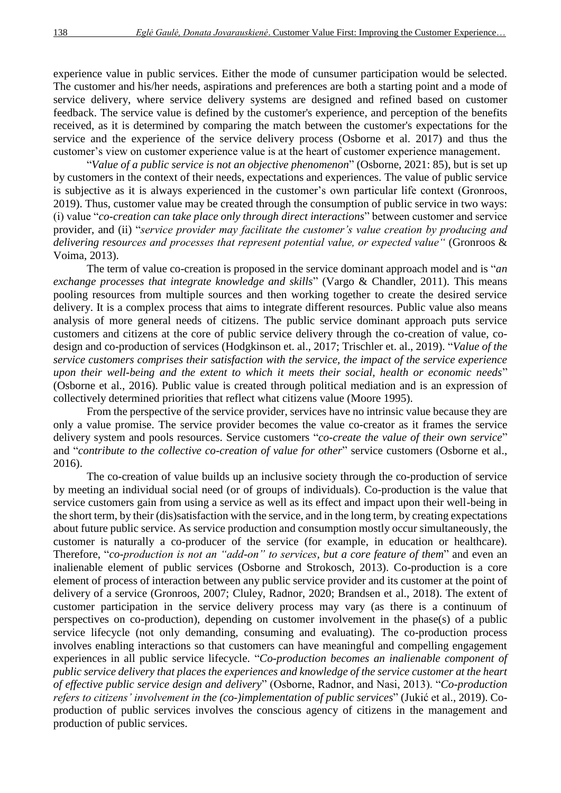experience value in public services. Either the mode of cunsumer participation would be selected. The customer and his/her needs, aspirations and preferences are both a starting point and a mode of service delivery, where service delivery systems are designed and refined based on customer feedback. The service value is defined by the customer's experience, and perception of the benefits received, as it is determined by comparing the match between the customer's expectations for the service and the experience of the service delivery process (Osborne et al. 2017) and thus the customer's view on customer experience value is at the heart of customer experience management.

"*Value of a public service is not an objective phenomenon*" (Osborne, 2021: 85), but is set up by customers in the context of their needs, expectations and experiences. The value of public service is subjective as it is always experienced in the customer's own particular life context (Gronroos, 2019). Thus, customer value may be created through the consumption of public service in two ways: (i) value "*co-creation can take place only through direct interactions*" between customer and service provider, and (ii) "*service provider may facilitate the customer's value creation by producing and delivering resources and processes that represent potential value, or expected value"* (Gronroos & Voima, 2013).

The term of value co-creation is proposed in the service dominant approach model and is "*an exchange processes that integrate knowledge and skills*" (Vargo & Chandler, 2011). This means pooling resources from multiple sources and then working together to create the desired service delivery. It is a complex process that aims to integrate different resources. Public value also means analysis of more general needs of citizens. The public service dominant approach puts service customers and citizens at the core of public service delivery through the co-creation of value, codesign and co-production of services (Hodgkinson et. al., 2017; Trischler et. al., 2019). "*Value of the service customers comprises their satisfaction with the service, the impact of the service experience upon their well-being and the extent to which it meets their social, health or economic needs*" (Osborne et al., 2016). Public value is created through political mediation and is an expression of collectively determined priorities that reflect what citizens value (Moore 1995).

From the perspective of the service provider, services have no intrinsic value because they are only a value promise. The service provider becomes the value co-creator as it frames the service delivery system and pools resources. Service customers "*co-create the value of their own service*" and "*contribute to the collective co-creation of value for other*" service customers (Osborne et al., 2016).

The co-creation of value builds up an inclusive society through the co-production of service by meeting an individual social need (or of groups of individuals). Co-production is the value that service customers gain from using a service as well as its effect and impact upon their well-being in the short term, by their (dis)satisfaction with the service, and in the long term, by creating expectations about future public service. As service production and consumption mostly occur simultaneously, the customer is naturally a co-producer of the service (for example, in education or healthcare). Therefore, "*co-production is not an "add-on" to services, but a core feature of them*" and even an inalienable element of public services (Osborne and Strokosch, 2013). Co-production is a core element of process of interaction between any public service provider and its customer at the point of delivery of a service (Gronroos, 2007; Cluley, Radnor, 2020; Brandsen et al., 2018). The extent of customer participation in the service delivery process may vary (as there is a continuum of perspectives on co-production), depending on customer involvement in the phase(s) of a public service lifecycle (not only demanding, consuming and evaluating). The co-production process involves enabling interactions so that customers can have meaningful and compelling engagement experiences in all public service lifecycle. "*Co-production becomes an inalienable component of public service delivery that places the experiences and knowledge of the service customer at the heart of effective public service design and delivery*" (Osborne, Radnor, and Nasi, 2013). "*Co-production refers to citizens' involvement in the (co-)implementation of public services*" (Jukić et al., 2019). Coproduction of public services involves the conscious agency of citizens in the management and production of public services.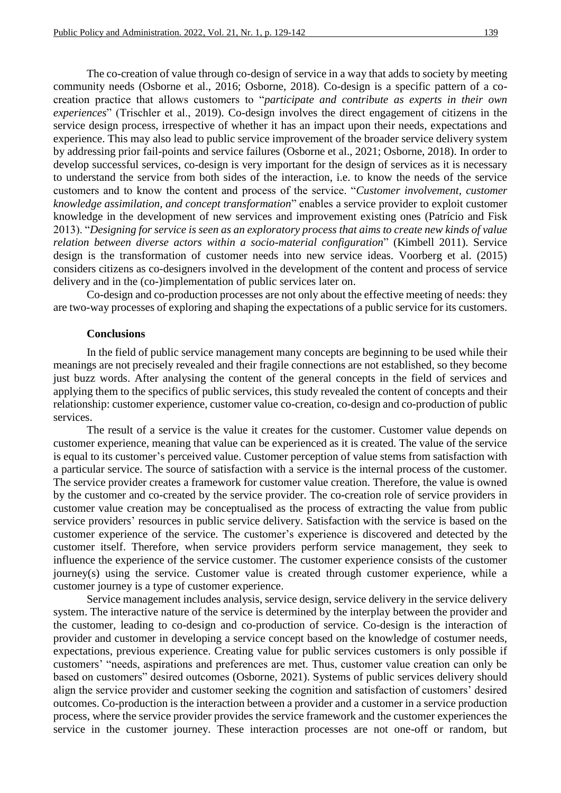The co-creation of value through co-design of service in a way that adds to society by meeting community needs (Osborne et al., 2016; Osborne, 2018). Co-design is a specific pattern of a cocreation practice that allows customers to "*participate and contribute as experts in their own experiences*" (Trischler et al., 2019). Co-design involves the direct engagement of citizens in the service design process, irrespective of whether it has an impact upon their needs, expectations and experience. This may also lead to public service improvement of the broader service delivery system by addressing prior fail-points and service failures (Osborne et al., 2021; Osborne, 2018). In order to develop successful services, co-design is very important for the design of services as it is necessary to understand the service from both sides of the interaction, i.e. to know the needs of the service customers and to know the content and process of the service. "*Customer involvement, customer knowledge assimilation, and concept transformation*" enables a service provider to exploit customer knowledge in the development of new services and improvement existing ones (Patrício and Fisk 2013). "*Designing for service is seen as an exploratory process that aims to create new kinds of value relation between diverse actors within a socio-material configuration*" (Kimbell 2011). Service design is the transformation of customer needs into new service ideas. Voorberg et al. (2015) considers citizens as co-designers involved in the development of the content and process of service delivery and in the (co-)implementation of public services later on.

Co-design and co-production processes are not only about the effective meeting of needs: they are two-way processes of exploring and shaping the expectations of a public service for its customers.

### **Conclusions**

In the field of public service management many concepts are beginning to be used while their meanings are not precisely revealed and their fragile connections are not established, so they become just buzz words. After analysing the content of the general concepts in the field of services and applying them to the specifics of public services, this study revealed the content of concepts and their relationship: customer experience, customer value co-creation, co-design and co-production of public services.

The result of a service is the value it creates for the customer. Customer value depends on customer experience, meaning that value can be experienced as it is created. The value of the service is equal to its customer's perceived value. Customer perception of value stems from satisfaction with a particular service. The source of satisfaction with a service is the internal process of the customer. The service provider creates a framework for customer value creation. Therefore, the value is owned by the customer and co-created by the service provider. The co-creation role of service providers in customer value creation may be conceptualised as the process of extracting the value from public service providers' resources in public service delivery. Satisfaction with the service is based on the customer experience of the service. The customer's experience is discovered and detected by the customer itself. Therefore, when service providers perform service management, they seek to influence the experience of the service customer. The customer experience consists of the customer journey(s) using the service. Customer value is created through customer experience, while a customer journey is a type of customer experience.

Service management includes analysis, service design, service delivery in the service delivery system. The interactive nature of the service is determined by the interplay between the provider and the customer, leading to co-design and co-production of service. Co-design is the interaction of provider and customer in developing a service concept based on the knowledge of costumer needs, expectations, previous experience. Creating value for public services customers is only possible if customers' "needs, aspirations and preferences are met. Thus, customer value creation can only be based on customers" desired outcomes (Osborne, 2021). Systems of public services delivery should align the service provider and customer seeking the cognition and satisfaction of customers' desired outcomes. Co-production is the interaction between a provider and a customer in a service production process, where the service provider provides the service framework and the customer experiences the service in the customer journey. These interaction processes are not one-off or random, but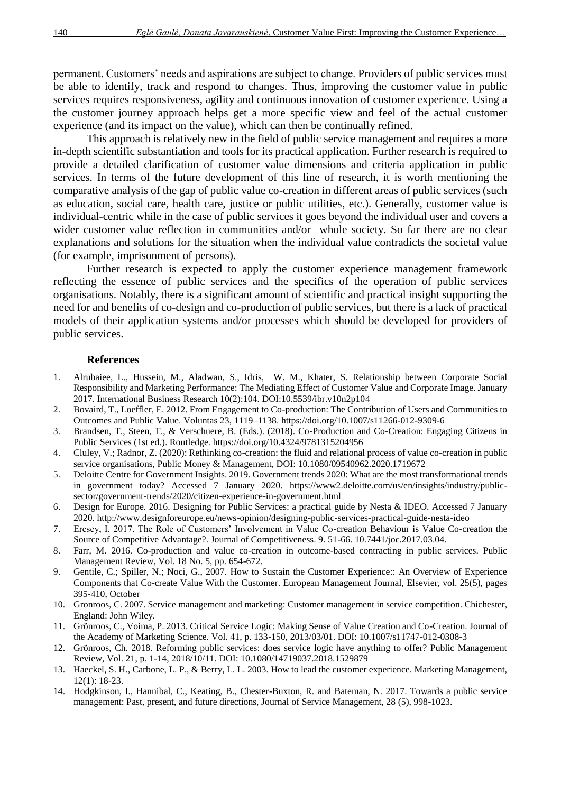permanent. Customers' needs and aspirations are subject to change. Providers of public services must be able to identify, track and respond to changes. Thus, improving the customer value in public services requires responsiveness, agility and continuous innovation of customer experience. Using a the customer journey approach helps get a more specific view and feel of the actual customer experience (and its impact on the value), which can then be continually refined.

This approach is relatively new in the field of public service management and requires a more in-depth scientific substantiation and tools for its practical application. Further research is required to provide a detailed clarification of customer value dimensions and criteria application in public services. In terms of the future development of this line of research, it is worth mentioning the comparative analysis of the gap of public value co-creation in different areas of public services (such as education, social care, health care, justice or public utilities, etc.). Generally, customer value is individual-centric while in the case of public services it goes beyond the individual user and covers a wider customer value reflection in communities and/or whole society. So far there are no clear explanations and solutions for the situation when the individual value contradicts the societal value (for example, imprisonment of persons).

Further research is expected to apply the customer experience management framework reflecting the essence of public services and the specifics of the operation of public services organisations. Notably, there is a significant amount of scientific and practical insight supporting the need for and benefits of co-design and co-production of public services, but there is a lack of practical models of their application systems and/or processes which should be developed for providers of public services.

#### **References**

- 1. Alrubaiee, L., Hussein, M., Aladwan, S., Idris, W. M., Khater, S. Relationship between Corporate Social Responsibility and Marketing Performance: The Mediating Effect of Customer Value and Corporate Image. January 2017. International Business Research 10(2):104. DOI:10.5539/ibr.v10n2p104
- 2. Bovaird, T., Loeffler, E. 2012. From Engagement to Co-production: The Contribution of Users and Communities to Outcomes and Public Value. Voluntas 23, 1119–1138[. https://doi.org/10.1007/s11266-012-9309-6](https://doi.org/10.1007/s11266-012-9309-6)
- 3. Brandsen, T., Steen, T., & Verschuere, B. (Eds.). (2018). Co-Production and Co-Creation: Engaging Citizens in Public Services (1st ed.). Routledge. https://doi.org/10.4324/9781315204956
- 4. Cluley, V.; Radnor, Z. (2020): Rethinking co-creation: the fluid and relational process of value co-creation in public service organisations, Public Money & Management, DOI: 10.1080/09540962.2020.1719672
- 5. Deloitte Centre for Government Insights. 2019. Government trends 2020: What are the most transformational trends in government today? Accessed 7 January 2020. [https://www2.deloitte.com/us/en/insights/industry/public](https://www2.deloitte.com/us/en/insights/industry/public-sector/government-trends/2020/citizen-experience-in-government.html)[sector/government-trends/2020/citizen-experience-in-government.html](https://www2.deloitte.com/us/en/insights/industry/public-sector/government-trends/2020/citizen-experience-in-government.html)
- 6. Design for Europe. 2016. Designing for Public Services: a practical guide by Nesta & IDEO. Accessed 7 January 2020.<http://www.designforeurope.eu/news-opinion/designing-public-services-practical-guide-nesta-ideo>
- 7. Ercsey, I. 2017. The Role of Customers' Involvement in Value Co-creation Behaviour is Value Co-creation the Source of Competitive Advantage?. Journal of Competitiveness. 9. 51-66. 10.7441/joc.2017.03.04.
- 8. Farr, M. 2016. Co-production and value co-creation in outcome-based contracting in public services. Public Management Review, Vol. 18 No. 5, pp. 654-672.
- 9. Gentile, C.; Spiller, N.; Noci, G., 2007. How to Sustain the Customer Experience:: An Overview of Experience Components that Co-create Value With the Customer. European Management Journal, Elsevier, vol. 25(5), pages 395-410, October
- 10. Gronroos, C. 2007. Service management and marketing: Customer management in service competition. Chichester, England: John Wiley.
- 11. Grönroos, C., Voima, P. 2013. Critical Service Logic: Making Sense of Value Creation and Co-Creation. Journal of the Academy of Marketing Science. Vol. 41, p. 133-150, 2013/03/01. DOI: 10.1007/s11747-012-0308-3
- 12. Grönroos, Ch. 2018. Reforming public services: does service logic have anything to offer? Public Management Review, Vol. 21, p. 1-14, 2018/10/11. DOI: 10.1080/14719037.2018.1529879
- 13. Haeckel, S. H., Carbone, L. P., & Berry, L. L. 2003. How to lead the customer experience. Marketing Management, 12(1): 18-23.
- 14. Hodgkinson, I., Hannibal, C., Keating, B., Chester-Buxton, R. and Bateman, N. 2017. Towards a public service management: Past, present, and future directions, Journal of Service Management, 28 (5), 998-1023.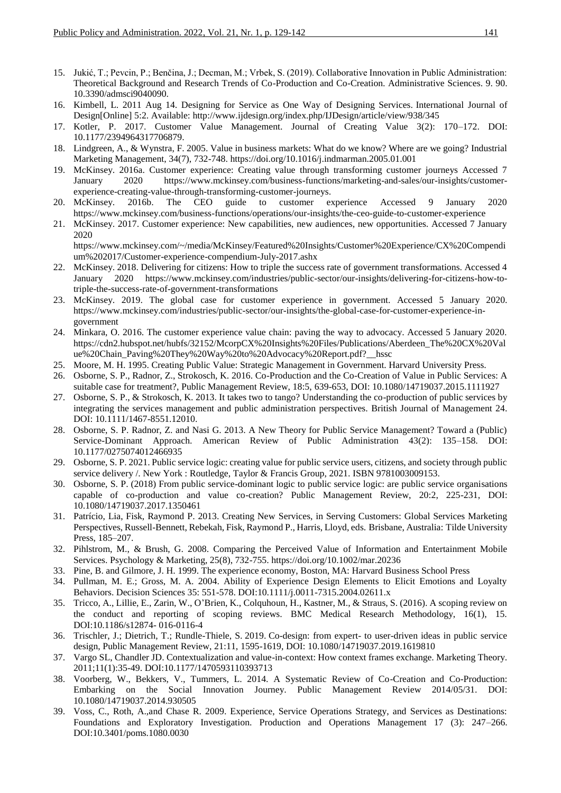- 15. Jukić, T.; Pevcin, P.; Benčina, J.; Decman, M.; Vrbek, S. (2019). Collaborative Innovation in Public Administration: Theoretical Background and Research Trends of Co-Production and Co-Creation. Administrative Sciences. 9. 90. 10.3390/admsci9040090.
- 16. Kimbell, L. 2011 Aug 14. Designing for Service as One Way of Designing Services. International Journal of Design[Online] 5:2. Available: <http://www.ijdesign.org/index.php/IJDesign/article/view/938/345>
- 17. Kotler, P. 2017. Customer Value Management. Journal of Creating Value 3(2): 170–172. DOI: 10.1177/2394964317706879.
- 18. Lindgreen, A., & Wynstra, F. 2005. Value in business markets: What do we know? Where are we going? Industrial Marketing Management, 34(7), 732-748.<https://doi.org/10.1016/j.indmarman.2005.01.001>
- 19. McKinsey. 2016a. Customer experience: Creating value through transforming customer journeys Accessed 7 January 2020 [https://www.mckinsey.com/business-functions/marketing-and-sales/our-insights/customer](https://www.mckinsey.com/business-functions/marketing-and-sales/our-insights/customer-experience-creating-value-through-transforming-customer-journeys)[experience-creating-value-through-transforming-customer-journeys.](https://www.mckinsey.com/business-functions/marketing-and-sales/our-insights/customer-experience-creating-value-through-transforming-customer-journeys)
- 20. McKinsey. 2016b. The CEO guide to customer experience Accessed 9 January 2020 https://www.mckinsey.com/business-functions/operations/our-insights/the-ceo-guide-to-customer-experience
- 21. McKinsey. 2017. Customer experience: New capabilities, new audiences, new opportunities. Accessed 7 January 2020 [https://www.mckinsey.com/~/media/McKinsey/Featured%20Insights/Customer%20Experience/CX%20Compendi](https://www.mckinsey.com/~/media/McKinsey/Featured%20Insights/Customer%20Experience/CX%20Compendium%202017/Customer-experience-compendium-July-2017.ashx) [um%202017/Customer-experience-compendium-July-2017.ashx](https://www.mckinsey.com/~/media/McKinsey/Featured%20Insights/Customer%20Experience/CX%20Compendium%202017/Customer-experience-compendium-July-2017.ashx)
- 22. McKinsey. 2018. Delivering for citizens: How to triple the success rate of government transformations. Accessed 4 January 2020 [https://www.mckinsey.com/industries/public-sector/our-insights/delivering-for-citizens-how-to](https://www.mckinsey.com/industries/public-sector/our-insights/delivering-for-citizens-how-to-triple-the-success-rate-of-government-transformations)[triple-the-success-rate-of-government-transformations](https://www.mckinsey.com/industries/public-sector/our-insights/delivering-for-citizens-how-to-triple-the-success-rate-of-government-transformations)
- 23. McKinsey. 2019. The global case for customer experience in government. Accessed 5 January 2020. [https://www.mckinsey.com/industries/public-sector/our-insights/the-global-case-for-customer-experience-in](https://www.mckinsey.com/industries/public-sector/our-insights/the-global-case-for-customer-experience-in-government)[government](https://www.mckinsey.com/industries/public-sector/our-insights/the-global-case-for-customer-experience-in-government)
- 24. Minkara, O. 2016. The customer experience value chain: paving the way to advocacy. Accessed 5 January 2020. [https://cdn2.hubspot.net/hubfs/32152/McorpCX%20Insights%20Files/Publications/Aberdeen\\_The%20CX%20Val](https://cdn2.hubspot.net/hubfs/32152/McorpCX%20Insights%20Files/Publications/Aberdeen_The%20CX%20Value%20Chain_Paving%20They%20Way%20to%20Advocacy%20Report.pdf?__hssc) [ue%20Chain\\_Paving%20They%20Way%20to%20Advocacy%20Report.pdf?\\_\\_hssc](https://cdn2.hubspot.net/hubfs/32152/McorpCX%20Insights%20Files/Publications/Aberdeen_The%20CX%20Value%20Chain_Paving%20They%20Way%20to%20Advocacy%20Report.pdf?__hssc)
- 25. Moore, M. H. 1995. Creating Public Value: Strategic Management in Government. Harvard University Press.
- 26. Osborne, S. P., Radnor, Z., Strokosch, K. 2016. Co-Production and the Co-Creation of Value in Public Services: A suitable case for treatment?, Public Management Review, 18:5, 639-653, DOI: 10.1080/14719037.2015.1111927
- 27. Osborne, S. P., & Strokosch, K. 2013. It takes two to tango? Understanding the co-production of public services by integrating the services management and public administration perspectives. British Journal of Management 24. DOI: 10.1111/1467-8551.12010.
- 28. Osborne, S. P. Radnor, Z. and Nasi G. 2013. A New Theory for Public Service Management? Toward a (Public) Service-Dominant Approach. American Review of Public Administration 43(2): 135–158. DOI: 10.1177/0275074012466935
- 29. Osborne, S. P. 2021. Public service logic: creating value for public service users, citizens, and society through public service delivery /. New York : Routledge, Taylor & Francis Group, 2021. ISBN 9781003009153.
- 30. Osborne, S. P. (2018) From public service-dominant logic to public service logic: are public service organisations capable of co-production and value co-creation? Public Management Review, 20:2, 225-231, DOI: 10.1080/14719037.2017.1350461
- 31. Patrício, Lia, Fisk, Raymond P. 2013. Creating New Services, in Serving Customers: Global Services Marketing Perspectives, Russell-Bennett, Rebekah, Fisk, Raymond P., Harris, Lloyd, eds. Brisbane, Australia: Tilde University Press, 185–207.
- 32. Pihlstrom, M., & Brush, G. 2008. Comparing the Perceived Value of Information and Entertainment Mobile Services. Psychology & Marketing, 25(8), 732-755.<https://doi.org/10.1002/mar.20236>
- 33. Pine, B. and Gilmore, J. H. 1999. The experience economy, Boston, MA: Harvard Business School Press
- 34. Pullman, M. E.; Gross, M. A. 2004. Ability of Experience Design Elements to Elicit Emotions and Loyalty Behaviors. Decision Sciences 35: 551-578. DOI:10.1111/j.0011-7315.2004.02611.x
- 35. Tricco, A., Lillie, E., Zarin, W., O'Brien, K., Colquhoun, H., Kastner, M., & Straus, S. (2016). A scoping review on the conduct and reporting of scoping reviews. BMC Medical Research Methodology, 16(1), 15. DOI:10.1186/s12874- 016-0116-4
- 36. Trischler, J.; Dietrich, T.; Rundle-Thiele, S. 2019. Co-design: from expert- to user-driven ideas in public service design, Public Management Review, 21:11, 1595-1619, DOI: [10.1080/14719037.2019.1619810](https://doi.org/10.1080/14719037.2019.1619810)
- 37. Vargo SL, Chandler JD. Contextualization and value-in-context: How context frames exchange. Marketing Theory. 2011;11(1):35-49. DOI:10.1177/1470593110393713
- 38. Voorberg, W., Bekkers, V., Tummers, L. 2014. A Systematic Review of Co-Creation and Co-Production: Embarking on the Social Innovation Journey. Public Management Review 2014/05/31. DOI: 10.1080/14719037.2014.930505
- 39. Voss, C., Roth, A.,and Chase R. 2009. Experience, Service Operations Strategy, and Services as Destinations: Foundations and Exploratory Investigation. Production and Operations Management 17 (3): 247–266. DOI:10.3401/poms.1080.0030